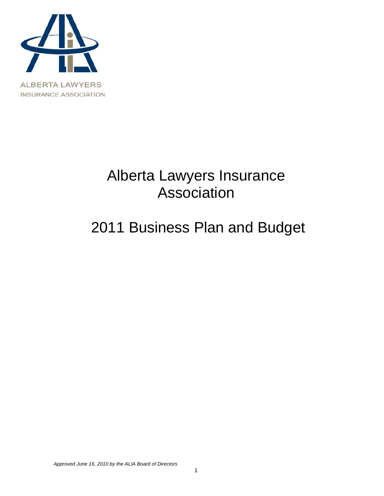

# Alberta Lawyers Insurance Association

# 2011 Business Plan and Budget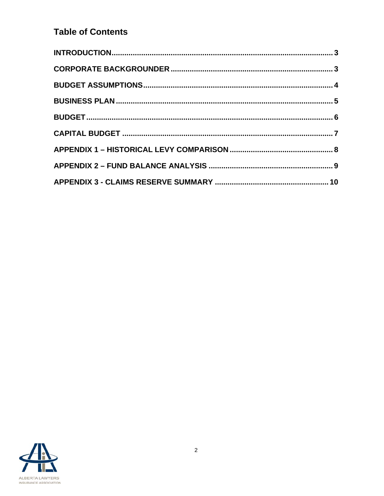## **Table of Contents**

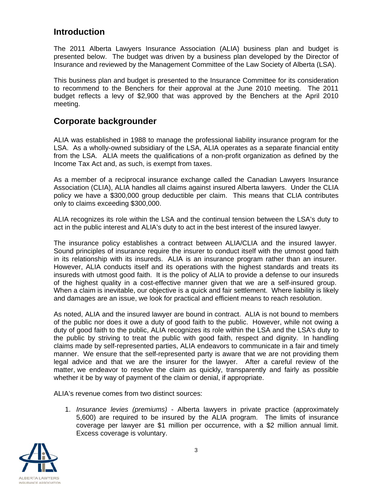### <span id="page-2-0"></span>**Introduction**

The 2011 Alberta Lawyers Insurance Association (ALIA) business plan and budget is presented below. The budget was driven by a business plan developed by the Director of Insurance and reviewed by the Management Committee of the Law Society of Alberta (LSA).

This business plan and budget is presented to the Insurance Committee for its consideration to recommend to the Benchers for their approval at the June 2010 meeting. The 2011 budget reflects a levy of \$2,900 that was approved by the Benchers at the April 2010 meeting.

### <span id="page-2-1"></span>**Corporate backgrounder**

ALIA was established in 1988 to manage the professional liability insurance program for the LSA. As a wholly-owned subsidiary of the LSA, ALIA operates as a separate financial entity from the LSA. ALIA meets the qualifications of a non-profit organization as defined by the Income Tax Act and, as such, is exempt from taxes.

As a member of a reciprocal insurance exchange called the Canadian Lawyers Insurance Association (CLIA), ALIA handles all claims against insured Alberta lawyers. Under the CLIA policy we have a \$300,000 group deductible per claim. This means that CLIA contributes only to claims exceeding \$300,000.

ALIA recognizes its role within the LSA and the continual tension between the LSA's duty to act in the public interest and ALIA's duty to act in the best interest of the insured lawyer.

The insurance policy establishes a contract between ALIA/CLIA and the insured lawyer. Sound principles of insurance require the insurer to conduct itself with the utmost good faith in its relationship with its insureds. ALIA is an insurance program rather than an insurer. However, ALIA conducts itself and its operations with the highest standards and treats its insureds with utmost good faith. It is the policy of ALIA to provide a defense to our insureds of the highest quality in a cost-effective manner given that we are a self-insured group. When a claim is inevitable, our objective is a quick and fair settlement. Where liability is likely and damages are an issue, we look for practical and efficient means to reach resolution.

As noted, ALIA and the insured lawyer are bound in contract. ALIA is not bound to members of the public nor does it owe a duty of good faith to the public. However, while not owing a duty of good faith to the public, ALIA recognizes its role within the LSA and the LSA's duty to the public by striving to treat the public with good faith, respect and dignity. In handling claims made by self-represented parties, ALIA endeavors to communicate in a fair and timely manner. We ensure that the self-represented party is aware that we are not providing them legal advice and that we are the insurer for the lawyer. After a careful review of the matter, we endeavor to resolve the claim as quickly, transparently and fairly as possible whether it be by way of payment of the claim or denial, if appropriate.

ALIA's revenue comes from two distinct sources:

1. *Insurance levies (premiums)* - Alberta lawyers in private practice (approximately 5,600) are required to be insured by the ALIA program. The limits of insurance coverage per lawyer are \$1 million per occurrence, with a \$2 million annual limit. Excess coverage is voluntary.

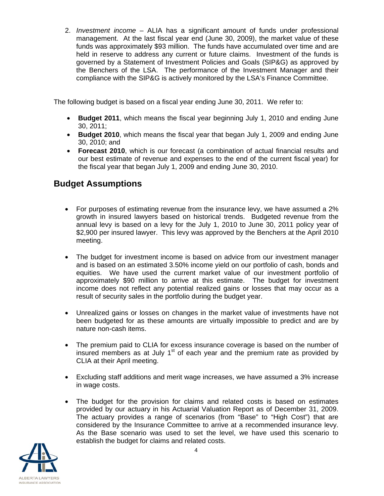2. *Investment income* – ALIA has a significant amount of funds under professional management. At the last fiscal year end (June 30, 2009), the market value of these funds was approximately \$93 million. The funds have accumulated over time and are held in reserve to address any current or future claims. Investment of the funds is governed by a Statement of Investment Policies and Goals (SIP&G) as approved by the Benchers of the LSA. The performance of the Investment Manager and their compliance with the SIP&G is actively monitored by the LSA's Finance Committee.

The following budget is based on a fiscal year ending June 30, 2011. We refer to:

- **Budget 2011**, which means the fiscal year beginning July 1, 2010 and ending June 30, 2011;
- **Budget 2010**, which means the fiscal year that began July 1, 2009 and ending June 30, 2010; and
- **Forecast 2010**, which is our forecast (a combination of actual financial results and our best estimate of revenue and expenses to the end of the current fiscal year) for the fiscal year that began July 1, 2009 and ending June 30, 2010.

## <span id="page-3-0"></span>**Budget Assumptions**

- For purposes of estimating revenue from the insurance levy, we have assumed a 2% growth in insured lawyers based on historical trends. Budgeted revenue from the annual levy is based on a levy for the July 1, 2010 to June 30, 2011 policy year of \$2,900 per insured lawyer. This levy was approved by the Benchers at the April 2010 meeting.
- The budget for investment income is based on advice from our investment manager and is based on an estimated 3.50% income yield on our portfolio of cash, bonds and equities. We have used the current market value of our investment portfolio of approximately \$90 million to arrive at this estimate. The budget for investment income does not reflect any potential realized gains or losses that may occur as a result of security sales in the portfolio during the budget year.
- Unrealized gains or losses on changes in the market value of investments have not been budgeted for as these amounts are virtually impossible to predict and are by nature non-cash items.
- The premium paid to CLIA for excess insurance coverage is based on the number of insured members as at July  $1<sup>st</sup>$  of each year and the premium rate as provided by CLIA at their April meeting.
- Excluding staff additions and merit wage increases, we have assumed a 3% increase in wage costs.
- The budget for the provision for claims and related costs is based on estimates provided by our actuary in his Actuarial Valuation Report as of December 31, 2009. The actuary provides a range of scenarios (from "Base" to "High Cost") that are considered by the Insurance Committee to arrive at a recommended insurance levy. As the Base scenario was used to set the level, we have used this scenario to establish the budget for claims and related costs.

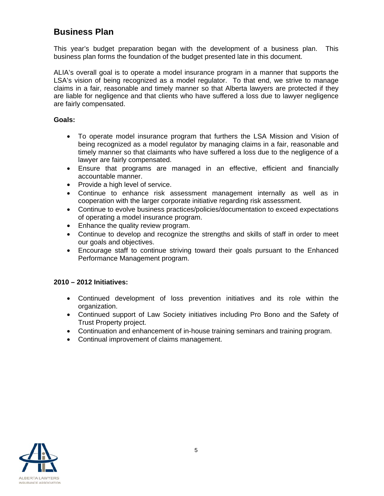## <span id="page-4-0"></span>**Business Plan**

This year's budget preparation began with the development of a business plan. This business plan forms the foundation of the budget presented late in this document.

ALIA's overall goal is to operate a model insurance program in a manner that supports the LSA's vision of being recognized as a model regulator. To that end, we strive to manage claims in a fair, reasonable and timely manner so that Alberta lawyers are protected if they are liable for negligence and that clients who have suffered a loss due to lawyer negligence are fairly compensated.

#### **Goals:**

- To operate model insurance program that furthers the LSA Mission and Vision of being recognized as a model regulator by managing claims in a fair, reasonable and timely manner so that claimants who have suffered a loss due to the negligence of a lawyer are fairly compensated.
- Ensure that programs are managed in an effective, efficient and financially accountable manner.
- Provide a high level of service.
- Continue to enhance risk assessment management internally as well as in cooperation with the larger corporate initiative regarding risk assessment.
- Continue to evolve business practices/policies/documentation to exceed expectations of operating a model insurance program.
- Enhance the quality review program.
- Continue to develop and recognize the strengths and skills of staff in order to meet our goals and objectives.
- Encourage staff to continue striving toward their goals pursuant to the Enhanced Performance Management program.

#### **2010 – 2012 Initiatives:**

- Continued development of loss prevention initiatives and its role within the organization.
- Continued support of Law Society initiatives including Pro Bono and the Safety of Trust Property project.
- Continuation and enhancement of in-house training seminars and training program.
- Continual improvement of claims management.

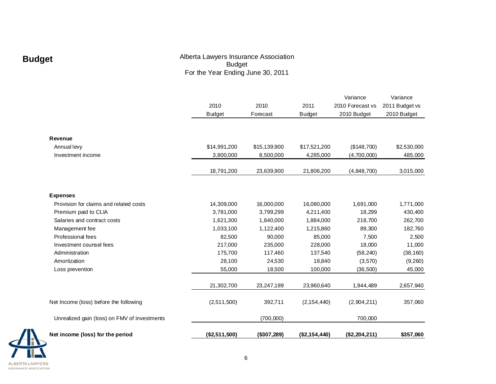# **Budget**

#### Alberta Lawyers Insurance Association Budget For the Year Ending June 30, 2011

|                                              |               |              |               | Variance         | Variance       |
|----------------------------------------------|---------------|--------------|---------------|------------------|----------------|
|                                              | 2010          | 2010         | 2011          | 2010 Forecast vs | 2011 Budget vs |
|                                              | <b>Budget</b> | Forecast     | <b>Budget</b> | 2010 Budget      | 2010 Budget    |
|                                              |               |              |               |                  |                |
|                                              |               |              |               |                  |                |
| Revenue                                      |               |              |               |                  |                |
| Annual levy                                  | \$14,991,200  | \$15,139,900 | \$17,521,200  | (\$148,700)      | \$2,530,000    |
| Investment income                            | 3,800,000     | 8,500,000    | 4,285,000     | (4,700,000)      | 485,000        |
|                                              | 18,791,200    | 23,639,900   | 21,806,200    | (4,848,700)      | 3,015,000      |
|                                              |               |              |               |                  |                |
| <b>Expenses</b>                              |               |              |               |                  |                |
| Provision for claims and related costs       | 14,309,000    | 16,000,000   | 16,080,000    | 1,691,000        | 1,771,000      |
| Premium paid to CLIA                         | 3,781,000     | 3,799,299    | 4,211,400     | 18,299           | 430,400        |
| Salaries and contract costs                  | 1,621,300     | 1,840,000    | 1,884,000     | 218,700          | 262,700        |
| Management fee                               | 1,033,100     | 1,122,400    | 1,215,860     | 89,300           | 182,760        |
| Professional fees                            | 82,500        | 90,000       | 85,000        | 7,500            | 2,500          |
| Investment counsel fees                      | 217,000       | 235,000      | 228,000       | 18,000           | 11,000         |
| Administration                               | 175,700       | 117,460      | 137,540       | (58, 240)        | (38, 160)      |
| Amortization                                 | 28,100        | 24,530       | 18,840        | (3,570)          | (9,260)        |
| Loss prevention                              | 55,000        | 18,500       | 100,000       | (36,500)         | 45,000         |
|                                              | 21,302,700    | 23,247,189   | 23,960,640    | 1,944,489        | 2,657,940      |
|                                              |               |              |               |                  |                |
| Net Income (loss) before the following       | (2,511,500)   | 392,711      | (2, 154, 440) | (2,904,211)      | 357,060        |
| Unrealized gain (loss) on FMV of investments |               | (700,000)    |               | 700,000          |                |
| Net income (loss) for the period             | (\$2,511,500) | (\$307,289)  | (\$2,154,440) | (\$2,204,211)    | \$357,060      |
|                                              |               |              |               |                  |                |

<span id="page-5-0"></span>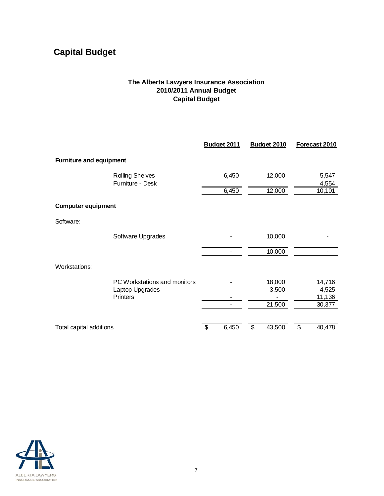# <span id="page-6-0"></span>**Capital Budget**

#### **The Alberta Lawyers Insurance Association 2010/2011 Annual Budget Capital Budget**

|                           |                                                                    | <b>Budget 2011</b> | Budget 2010     | Forecast 2010             |
|---------------------------|--------------------------------------------------------------------|--------------------|-----------------|---------------------------|
| Furniture and equipment   |                                                                    |                    |                 |                           |
|                           | <b>Rolling Shelves</b><br>Furniture - Desk                         | 6,450              | 12,000          | 5,547<br>4,554            |
|                           |                                                                    | 6,450              | 12,000          | 10,101                    |
| <b>Computer equipment</b> |                                                                    |                    |                 |                           |
| Software:                 |                                                                    |                    |                 |                           |
|                           | Software Upgrades                                                  |                    | 10,000          |                           |
|                           |                                                                    | ۰                  | 10,000          |                           |
| <b>Workstations:</b>      |                                                                    |                    |                 |                           |
|                           | PC Workstations and monitors<br>Laptop Upgrades<br><b>Printers</b> |                    | 18,000<br>3,500 | 14,716<br>4,525<br>11,136 |
|                           |                                                                    |                    | 21,500          | 30,377                    |
| Total capital additions   |                                                                    | \$<br>6,450        | \$<br>43,500    | \$<br>40,478              |

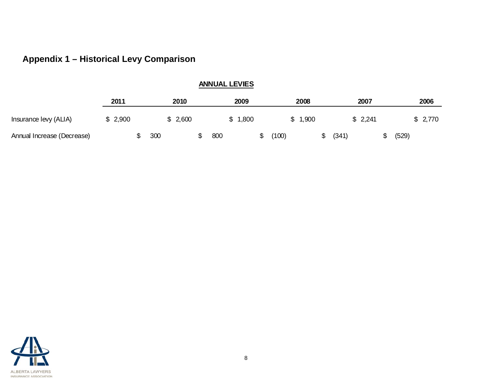# **Appendix 1 – Historical Levy Comparison**

| <b>ANNUAL LEVIES</b>       |         |  |         |  |     |         |  |       |         |    |         |       |         |  |
|----------------------------|---------|--|---------|--|-----|---------|--|-------|---------|----|---------|-------|---------|--|
|                            | 2011    |  | 2010    |  |     | 2009    |  |       | 2008    |    | 2007    |       | 2006    |  |
| Insurance levy (ALIA)      | \$2,900 |  | \$2,600 |  |     | \$1,800 |  |       | \$1,900 |    | \$2,241 |       | \$2,770 |  |
| Annual Increase (Decrease) |         |  | 300     |  | 800 |         |  | (100) |         | \$ | (341)   | (529) |         |  |

<span id="page-7-0"></span>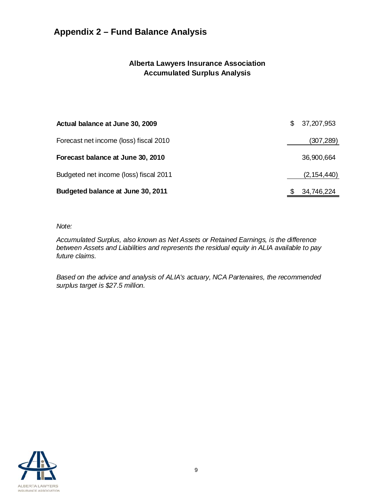# <span id="page-8-0"></span>**Appendix 2 – Fund Balance Analysis**

#### **Alberta Lawyers Insurance Association Accumulated Surplus Analysis**

| Actual balance at June 30, 2009        | S. | 37,207,953    |
|----------------------------------------|----|---------------|
| Forecast net income (loss) fiscal 2010 |    | (307, 289)    |
| Forecast balance at June 30, 2010      |    | 36,900,664    |
| Budgeted net income (loss) fiscal 2011 |    | (2, 154, 440) |
| Budgeted balance at June 30, 2011      |    | 34,746,224    |

#### *Note:*

*Accumulated Surplus, also known as Net Assets or Retained Earnings, is the difference between Assets and Liabilities and represents the residual equity in ALIA available to pay future claims.* 

*Based on the advice and analysis of ALIA's actuary, NCA Partenaires, the recommended surplus target is \$27.5 million.*